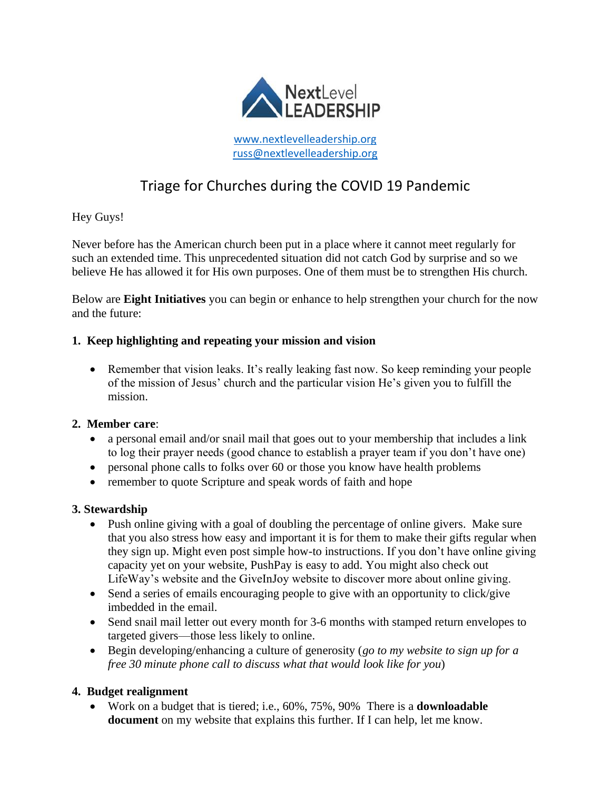

# Triage for Churches during the COVID 19 Pandemic

# Hey Guys!

Never before has the American church been put in a place where it cannot meet regularly for such an extended time. This unprecedented situation did not catch God by surprise and so we believe He has allowed it for His own purposes. One of them must be to strengthen His church.

Below are **Eight Initiatives** you can begin or enhance to help strengthen your church for the now and the future:

#### **1. Keep highlighting and repeating your mission and vision**

• Remember that vision leaks. It's really leaking fast now. So keep reminding your people of the mission of Jesus' church and the particular vision He's given you to fulfill the mission.

#### **2. Member care**:

- a personal email and/or snail mail that goes out to your membership that includes a link to log their prayer needs (good chance to establish a prayer team if you don't have one)
- personal phone calls to folks over 60 or those you know have health problems
- remember to quote Scripture and speak words of faith and hope

#### **3. Stewardship**

- Push online giving with a goal of doubling the percentage of online givers. Make sure that you also stress how easy and important it is for them to make their gifts regular when they sign up. Might even post simple how-to instructions. If you don't have online giving capacity yet on your website, PushPay is easy to add. You might also check out LifeWay's website and the GiveInJoy website to discover more about online giving.
- Send a series of emails encouraging people to give with an opportunity to click/give imbedded in the email.
- Send snail mail letter out every month for 3-6 months with stamped return envelopes to targeted givers—those less likely to online.
- Begin developing/enhancing a culture of generosity (*go to my website to sign up for a free 30 minute phone call to discuss what that would look like for you*)

# **4. Budget realignment**

• Work on a budget that is tiered; i.e., 60%, 75%, 90% There is a **downloadable document** on my website that explains this further. If I can help, let me know.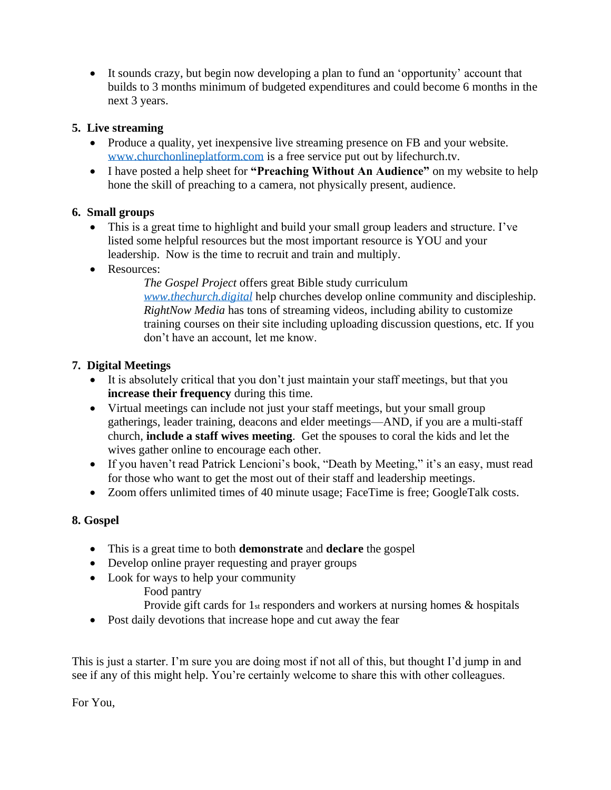• It sounds crazy, but begin now developing a plan to fund an 'opportunity' account that builds to 3 months minimum of budgeted expenditures and could become 6 months in the next 3 years.

# **5. Live streaming**

- Produce a quality, yet inexpensive live streaming presence on FB and your website. [www.churchonlineplatform.com](http://www.churchonlineplatform.com/) is a free service put out by lifechurch.tv.
- I have posted a help sheet for **"Preaching Without An Audience"** on my website to help hone the skill of preaching to a camera, not physically present, audience.

# **6. Small groups**

- This is a great time to highlight and build your small group leaders and structure. I've listed some helpful resources but the most important resource is YOU and your leadership. Now is the time to recruit and train and multiply.
- Resources:

*The Gospel Project* offers great Bible study curriculum *[www.thechurch.digital](http://www.thechurch.digital/)* help churches develop online community and discipleship. *RightNow Media* has tons of streaming videos, including ability to customize training courses on their site including uploading discussion questions, etc. If you don't have an account, let me know.

# **7. Digital Meetings**

- It is absolutely critical that you don't just maintain your staff meetings, but that you **increase their frequency** during this time.
- Virtual meetings can include not just your staff meetings, but your small group gatherings, leader training, deacons and elder meetings—AND, if you are a multi-staff church, **include a staff wives meeting**. Get the spouses to coral the kids and let the wives gather online to encourage each other.
- If you haven't read Patrick Lencioni's book, "Death by Meeting," it's an easy, must read for those who want to get the most out of their staff and leadership meetings.
- Zoom offers unlimited times of 40 minute usage; FaceTime is free; GoogleTalk costs.

# **8. Gospel**

- This is a great time to both **demonstrate** and **declare** the gospel
- Develop online prayer requesting and prayer groups
- Look for ways to help your community
	- Food pantry
	- Provide gift cards for 1st responders and workers at nursing homes & hospitals
- Post daily devotions that increase hope and cut away the fear

This is just a starter. I'm sure you are doing most if not all of this, but thought I'd jump in and see if any of this might help. You're certainly welcome to share this with other colleagues.

For You,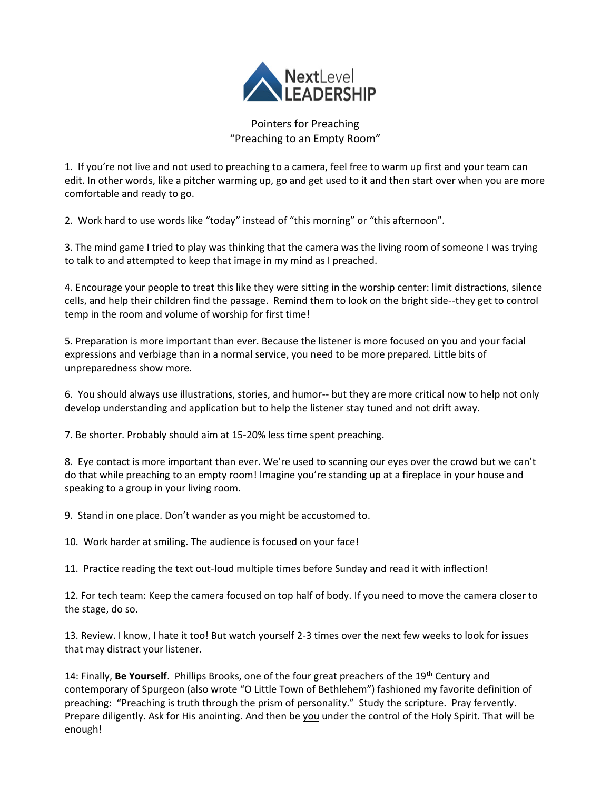

Pointers for Preaching "Preaching to an Empty Room"

1. If you're not live and not used to preaching to a camera, feel free to warm up first and your team can edit. In other words, like a pitcher warming up, go and get used to it and then start over when you are more comfortable and ready to go.

2. Work hard to use words like "today" instead of "this morning" or "this afternoon".

3. The mind game I tried to play was thinking that the camera was the living room of someone I was trying to talk to and attempted to keep that image in my mind as I preached.

4. Encourage your people to treat this like they were sitting in the worship center: limit distractions, silence cells, and help their children find the passage. Remind them to look on the bright side--they get to control temp in the room and volume of worship for first time!

5. Preparation is more important than ever. Because the listener is more focused on you and your facial expressions and verbiage than in a normal service, you need to be more prepared. Little bits of unpreparedness show more.

6. You should always use illustrations, stories, and humor-- but they are more critical now to help not only develop understanding and application but to help the listener stay tuned and not drift away.

7. Be shorter. Probably should aim at 15-20% less time spent preaching.

8. Eye contact is more important than ever. We're used to scanning our eyes over the crowd but we can't do that while preaching to an empty room! Imagine you're standing up at a fireplace in your house and speaking to a group in your living room.

9. Stand in one place. Don't wander as you might be accustomed to.

10. Work harder at smiling. The audience is focused on your face!

11. Practice reading the text out-loud multiple times before Sunday and read it with inflection!

12. For tech team: Keep the camera focused on top half of body. If you need to move the camera closer to the stage, do so.

13. Review. I know, I hate it too! But watch yourself 2-3 times over the next few weeks to look for issues that may distract your listener.

14: Finally, **Be Yourself**. Phillips Brooks, one of the four great preachers of the 19th Century and contemporary of Spurgeon (also wrote "O Little Town of Bethlehem") fashioned my favorite definition of preaching: "Preaching is truth through the prism of personality." Study the scripture. Pray fervently. Prepare diligently. Ask for His anointing. And then be you under the control of the Holy Spirit. That will be enough!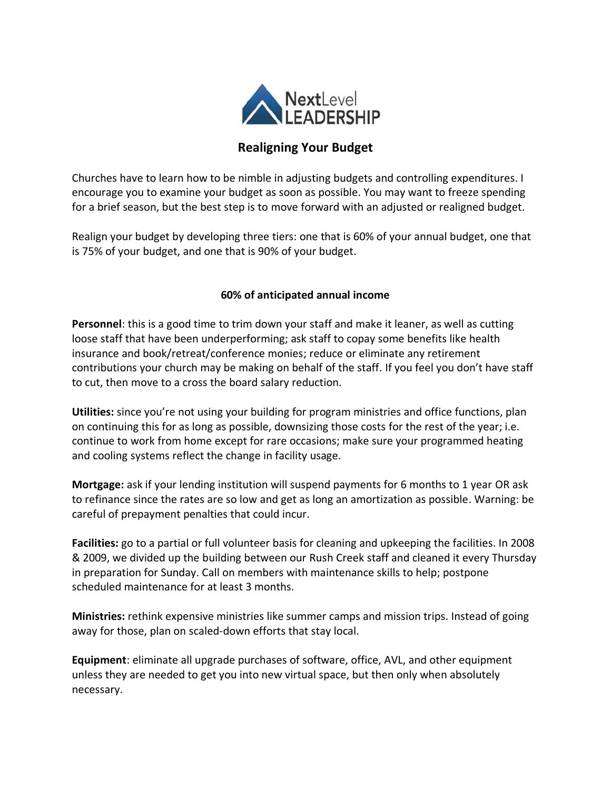

# **Realigning Your Budget**

Churches have to learn how to be nimble in adjusting budgets and controlling expenditures. I encourage you to examine your budget as soon as possible. You may want to freeze spending for a brief season, but the best step is to move forward with an adjusted or realigned budget.

Realign your budget by developing three tiers: one that is 60% of your annual budget, one that is 75% of your budget, and one that is 90% of your budget.

#### **60% of anticipated annual income**

**Personnel**: this is a good time to trim down your staff and make it leaner, as well as cutting loose staff that have been underperforming; ask staff to copay some benefits like health insurance and book/retreat/conference monies; reduce or eliminate any retirement contributions your church may be making on behalf of the staff. If you feel you don't have staff to cut, then move to a cross the board salary reduction.

**Utilities:** since you're not using your building for program ministries and office functions, plan on continuing this for as long as possible, downsizing those costs for the rest of the year; i.e. continue to work from home except for rare occasions; make sure your programmed heating and cooling systems reflect the change in facility usage.

**Mortgage:** ask if your lending institution will suspend payments for 6 months to 1 year OR ask to refinance since the rates are so low and get as long an amortization as possible. Warning: be careful of prepayment penalties that could incur.

**Facilities:** go to a partial or full volunteer basis for cleaning and upkeeping the facilities. In 2008 & 2009, we divided up the building between our Rush Creek staff and cleaned it every Thursday in preparation for Sunday. Call on members with maintenance skills to help; postpone scheduled maintenance for at least 3 months.

**Ministries:** rethink expensive ministries like summer camps and mission trips. Instead of going away for those, plan on scaled-down efforts that stay local.

**Equipment**: eliminate all upgrade purchases of software, office, AVL, and other equipment unless they are needed to get you into new virtual space, but then only when absolutely necessary.